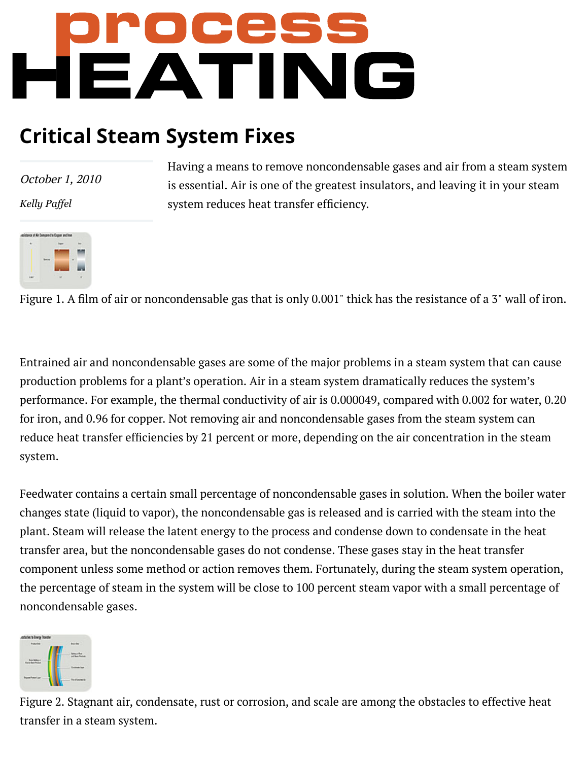# **PPPPPES**<br>REATING

# **Critical Steam System Fixes**

October 1, 2010

*[Kelly Paffel](https://www.process-heating.com/authors/2216-kelly-paffel)*

Having a means to remove noncondensable gases and air from a steam system is essential. Air is one of the greatest insulators, and leaving it in your steam system reduces heat transfer efficiency.

Figure 1. A film of air or noncondensable gas that is only 0.001" thick has the resistance of a 3" wall of iron.

Entrained air and noncondensable gases are some of the major problems in a steam system that can cause production problems for a plant's operation. Air in a steam system dramatically reduces the system's performance. For example, the thermal conductivity of air is 0.000049, compared with 0.002 for water, 0.20 for iron, and 0.96 for copper. Not removing air and noncondensable gases from the steam system can reduce heat transfer efficiencies by 21 percent or more, depending on the air concentration in the steam system.

Feedwater contains a certain small percentage of noncondensable gases in solution. When the boiler water changes state (liquid to vapor), the noncondensable gas is released and is carried with the steam into the plant. Steam will release the latent energy to the process and condense down to condensate in the heat transfer area, but the noncondensable gases do not condense. These gases stay in the heat transfer component unless some method or action removes them. Fortunately, during the steam system operation, the percentage of steam in the system will be close to 100 percent steam vapor with a small percentage of noncondensable gases.



Figure 2. Stagnant air, condensate, rust or corrosion, and scale are among the obstacles to effective heat transfer in a steam system.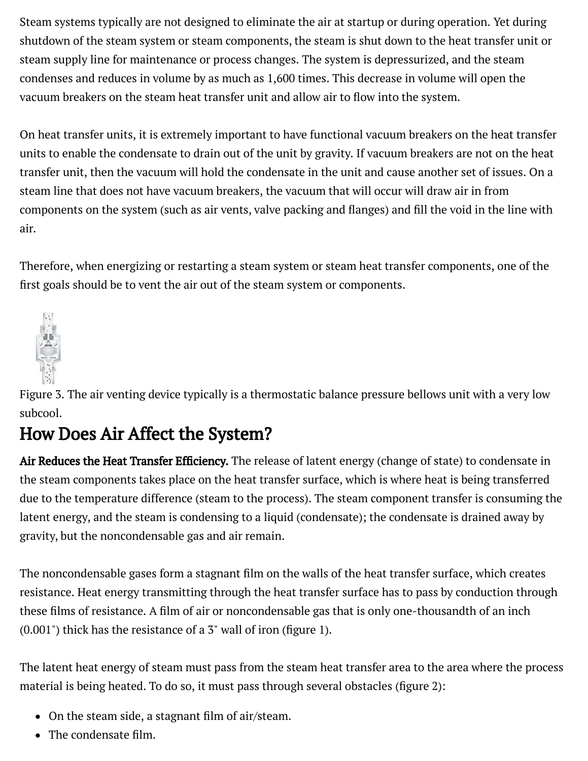Steam systems typically are not designed to eliminate the air at startup or during operation. Yet during shutdown of the steam system or steam components, the steam is shut down to the heat transfer unit or steam supply line for maintenance or process changes. The system is depressurized, and the steam condenses and reduces in volume by as much as 1,600 times. This decrease in volume will open the vacuum breakers on the steam heat transfer unit and allow air to flow into the system.

On heat transfer units, it is extremely important to have functional vacuum breakers on the heat transfer units to enable the condensate to drain out of the unit by gravity. If vacuum breakers are not on the heat transfer unit, then the vacuum will hold the condensate in the unit and cause another set of issues. On a steam line that does not have vacuum breakers, the vacuum that will occur will draw air in from components on the system (such as air vents, valve packing and flanges) and fill the void in the line with air.

Therefore, when energizing or restarting a steam system or steam heat transfer components, one of the first goals should be to vent the air out of the steam system or components.



Figure 3. The air venting device typically is a thermostatic balance pressure bellows unit with a very low subcool.

## How Does Air Affect the System?

Air Reduces the Heat Transfer Efficiency. The release of latent energy (change of state) to condensate in the steam components takes place on the heat transfer surface, which is where heat is being transferred due to the temperature difference (steam to the process). The steam component transfer is consuming the latent energy, and the steam is condensing to a liquid (condensate); the condensate is drained away by gravity, but the noncondensable gas and air remain.

The noncondensable gases form a stagnant film on the walls of the heat transfer surface, which creates resistance. Heat energy transmitting through the heat transfer surface has to pass by conduction through these films of resistance. A film of air or noncondensable gas that is only one-thousandth of an inch  $(0.001")$  thick has the resistance of a 3" wall of iron (figure 1).

The latent heat energy of steam must pass from the steam heat transfer area to the area where the process material is being heated. To do so, it must pass through several obstacles (figure 2):

- $\bullet$  On the steam side, a stagnant film of air/steam.
- $\frac{1}{100}$  com/articles/8805-critical-steam-system-fixes/system-fixes.  $\bullet$  The condensate film.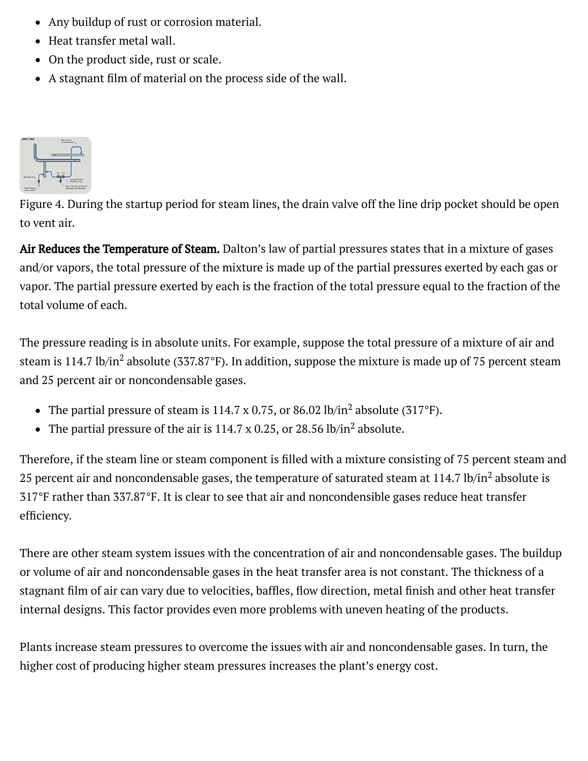- Any buildup of rust or corrosion material.
	- Heat transfer metal wall.
	- On the product side, rust or scale.
	- $\bullet$  A stagnant film of material on the process side of the wall.



Figure 4. During the startup period for steam lines, the drain valve off the line drip pocket should be open to vent air.

Air Reduces the Temperature of Steam. Dalton's law of partial pressures states that in a mixture of gases and/or vapors, the total pressure of the mixture is made up of the partial pressures exerted by each gas or vapor. The partial pressure exerted by each is the fraction of the total pressure equal to the fraction of the total volume of each.

The pressure reading is in absolute units. For example, suppose the total pressure of a mixture of air and steam is 114.7 lb/in<sup>2</sup> absolute (337.87°F). In addition, suppose the mixture is made up of 75 percent steam and 25 percent air or noncondensable gases.

- The partial pressure of steam is 114.7 x 0.75, or 86.02 lb/in<sup>2</sup> absolute (317°F).
- The partial pressure of the air is 114.7 x 0.25, or 28.56 lb/in<sup>2</sup> absolute.

Therefore, if the steam line or steam component is filled with a mixture consisting of 75 percent steam and 25 percent air and noncondensable gases, the temperature of saturated steam at 114.7 lb/in<sup>2</sup> absolute is 317°F rather than 337.87°F. It is clear to see that air and noncondensible gases reduce heat transfer efficiency.

There are other steam system issues with the concentration of air and noncondensable gases. The buildup or volume of air and noncondensable gases in the heat transfer area is not constant. The thickness of a stagnant film of air can vary due to velocities, baffles, flow direction, metal finish and other heat transfer internal designs. This factor provides even more problems with uneven heating of the products.

Plants increase steam pressures to overcome the issues with air and noncondensable gases. In turn, the higher cost of producing higher steam pressures increases the plant's energy cost.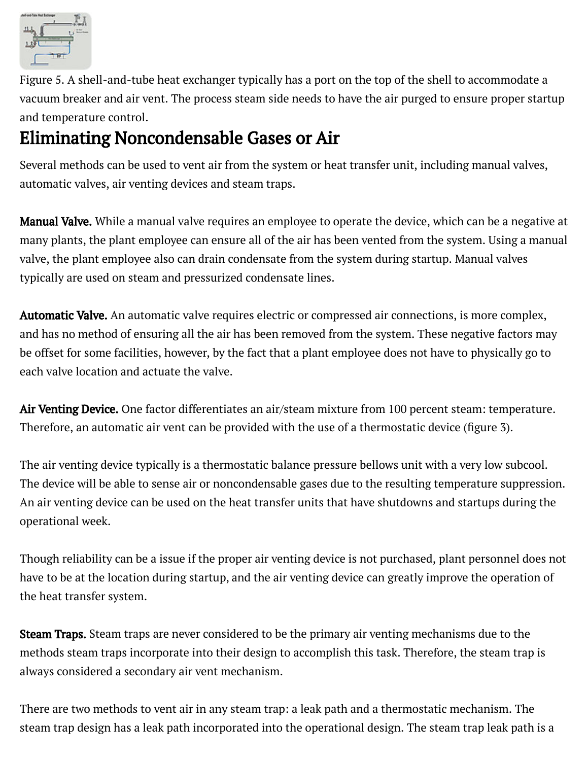

Figure 5. A shell-and-tube heat exchanger typically has a port on the top of the shell to accommodate a vacuum breaker and air vent. The process steam side needs to have the air purged to ensure proper startup and temperature control.

# Eliminating Noncondensable Gases or Air

Several methods can be used to vent air from the system or heat transfer unit, including manual valves, automatic valves, air venting devices and steam traps.

Manual Valve. While a manual valve requires an employee to operate the device, which can be a negative at many plants, the plant employee can ensure all of the air has been vented from the system. Using a manual valve, the plant employee also can drain condensate from the system during startup. Manual valves typically are used on steam and pressurized condensate lines.

Automatic Valve. An automatic valve requires electric or compressed air connections, is more complex, and has no method of ensuring all the air has been removed from the system. These negative factors may be offset for some facilities, however, by the fact that a plant employee does not have to physically go to each valve location and actuate the valve.

Air Venting Device. One factor differentiates an air/steam mixture from 100 percent steam: temperature. Therefore, an automatic air vent can be provided with the use of a thermostatic device (figure 3).

The air venting device typically is a thermostatic balance pressure bellows unit with a very low subcool. The device will be able to sense air or noncondensable gases due to the resulting temperature suppression. An air venting device can be used on the heat transfer units that have shutdowns and startups during the operational week.

Though reliability can be a issue if the proper air venting device is not purchased, plant personnel does not have to be at the location during startup, and the air venting device can greatly improve the operation of the heat transfer system.

**Steam Traps.** Steam traps are never considered to be the primary air venting mechanisms due to the methods steam traps incorporate into their design to accomplish this task. Therefore, the steam trap is always considered a secondary air vent mechanism.

There are two methods to vent air in any steam trap: a leak path and a thermostatic mechanism. The steam trap design has a leak path incorporated into the operational design. The steam trap leak path is a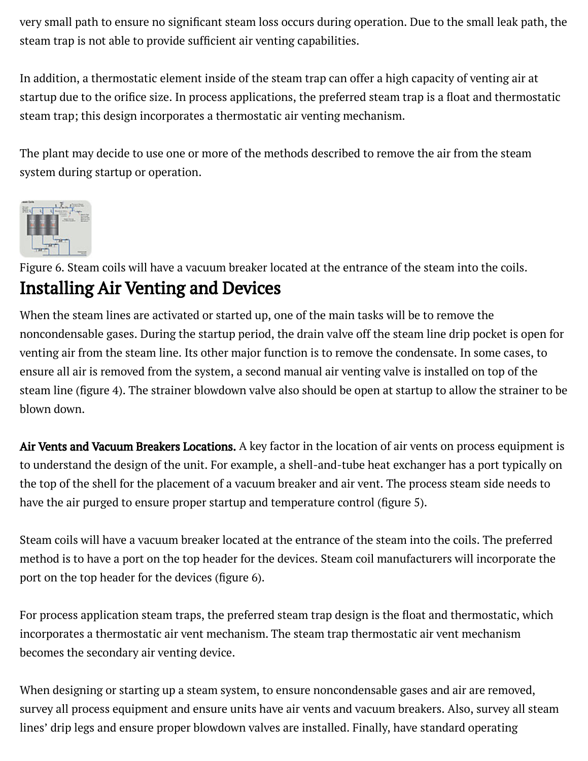very small path to ensure no significant steam loss occurs during operation. Due to the small leak path, the steam trap is not able to provide sufficient air venting capabilities.

In addition, a thermostatic element inside of the steam trap can offer a high capacity of venting air at startup due to the orifice size. In process applications, the preferred steam trap is a float and thermostatic steam trap; this design incorporates a thermostatic air venting mechanism.

The plant may decide to use one or more of the methods described to remove the air from the steam system during startup or operation.



Figure 6. Steam coils will have a vacuum breaker located at the entrance of the steam into the coils.

### Installing Air Venting and Devices

When the steam lines are activated or started up, one of the main tasks will be to remove the noncondensable gases. During the startup period, the drain valve off the steam line drip pocket is open for venting air from the steam line. Its other major function is to remove the condensate. In some cases, to ensure all air is removed from the system, a second manual air venting valve is installed on top of the steam line (figure 4). The strainer blowdown valve also should be open at startup to allow the strainer to be blown down.

Air Vents and Vacuum Breakers Locations. A key factor in the location of air vents on process equipment is to understand the design of the unit. For example, a shell-and-tube heat exchanger has a port typically on the top of the shell for the placement of a vacuum breaker and air vent. The process steam side needs to have the air purged to ensure proper startup and temperature control (figure 5).

Steam coils will have a vacuum breaker located at the entrance of the steam into the coils. The preferred method is to have a port on the top header for the devices. Steam coil manufacturers will incorporate the port on the top header for the devices (figure 6).

For process application steam traps, the preferred steam trap design is the float and thermostatic, which incorporates a thermostatic air vent mechanism. The steam trap thermostatic air vent mechanism becomes the secondary air venting device.

When designing or starting up a steam system, to ensure noncondensable gases and air are removed, survey all process equipment and ensure units have air vents and vacuum breakers. Also, survey all steam lines' drip legs and ensure proper blowdown valves are installed. Finally, have standard operating